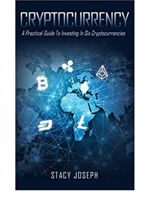A Practical Guide To Investing In Six Cryptocurrencies

## **STACY JOSEPH**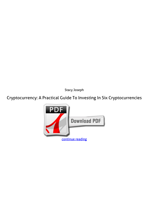*Stacy Joseph*

**Cryptocurrency: A Practical Guide To Investing In Six Cryptocurrencies**

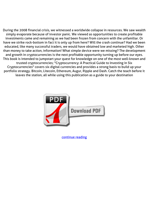During the 2008 financial crisis, we witnessed a worldwide collapse in resources. We saw wealth simply evaporate because of investor panic. We viewed as opportunities to create profitable investments came and remaining as we had been frozen from concern with the unfamiliar. Or have we strike rock-bottom in fact it is only up from here? Will the crash continue? Had we been educated, like many successful traders, we would have obtained low and marketed high. Other than money to take action, information! What simple device were we missing? The development and growth in cryptocurrencies is the next profitable opportunity turning up before our eyes. This book is intended to jumpstart your quest for knowledge on one of the most well-known and trusted cryptocurrencies; "Cryptocurrency: A Practical Guide to Investing in Six Cryptocurrencies" covers six digital currencies and provides a strong basis to build up your portfolio strategy. Bitcoin, Litecoin, Ethereum, Augur, Ripple and Dash. Catch the teach before it leaves the station, all while using this publication as a guide to your destination



[continue reading](http://bit.ly/2Tge8Fv)